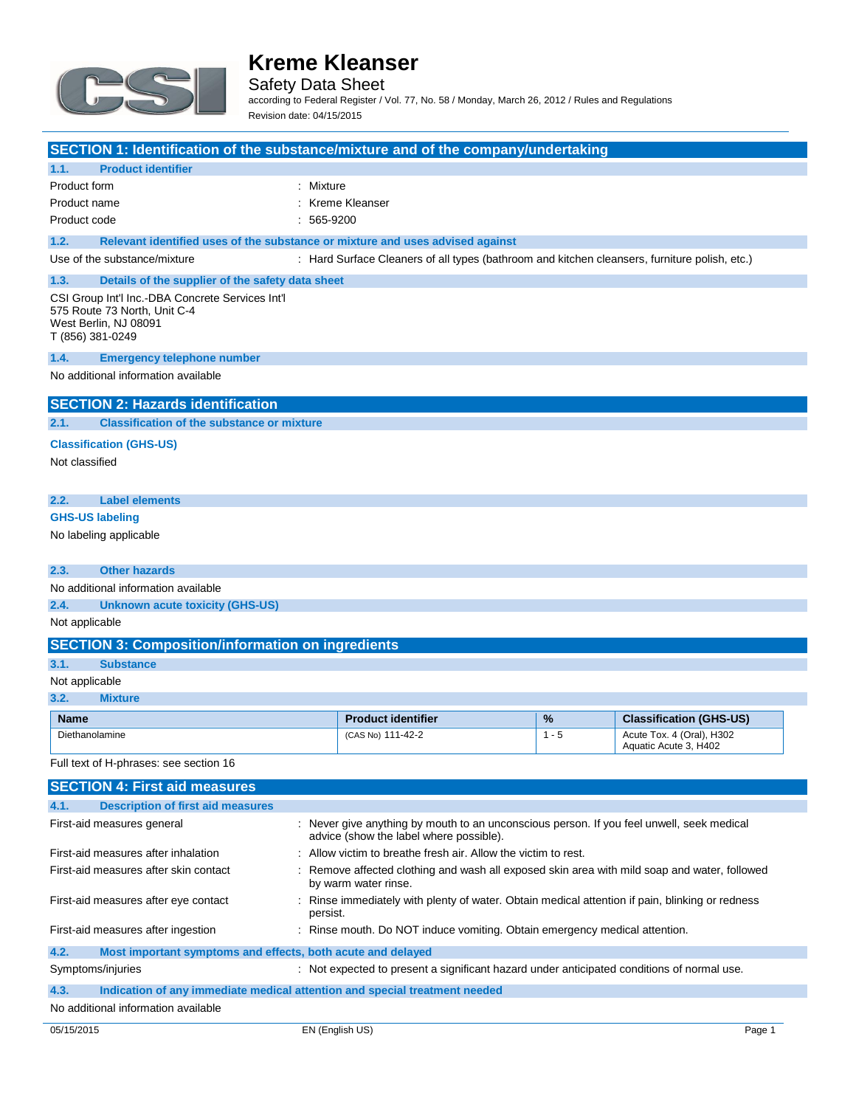

Safety Data Sheet

according to Federal Register / Vol. 77, No. 58 / Monday, March 26, 2012 / Rules and Regulations Revision date: 04/15/2015

## **SECTION 1: Identification of the substance/mixture and of the company/undertaking**

#### **1.1. Product identifier**

| Product form | : Mixture        |
|--------------|------------------|
| Product name | : Kreme Kleanser |

Product code : 565-9200

## **1.2. Relevant identified uses of the substance or mixture and uses advised against**

Use of the substance/mixture : Hard Surface Cleaners of all types (bathroom and kitchen cleansers, furniture polish, etc.)

# **1.3. Details of the supplier of the safety data sheet**

CSI Group Int'l Inc.-DBA Concrete Services Int'l 575 Route 73 North, Unit C-4 West Berlin, NJ 08091 T (856) 381-0249

#### **1.4. Emergency telephone number**

No additional information available

## **SECTION 2: Hazards identification**

**2.1. Classification of the substance or mixture**

## **Classification (GHS-US)**

Not classified

## **2.2. Label elements**

### **GHS-US labeling**

No labeling applicable

## **2.3. Other hazards**

No additional information available

#### **2.4. Unknown acute toxicity (GHS-US)**

Not applicable

## **SECTION 3: Composition/information on ingredients**

#### **3.1. Substance**

Not applicable

### **3.2. Mixture**

| <b>Name</b>    | <b>Product identifier</b> | % | <b>Classification (GHS-US)</b>                     |
|----------------|---------------------------|---|----------------------------------------------------|
| Diethanolamine | (CAS No) 111-42-2         | w | Acute Tox. 4 (Oral), H302<br>Aquatic Acute 3, H402 |

#### Full text of H-phrases: see section 16

|                   | <b>SECTION 4: First aid measures</b>                        |                                                                                                                                      |
|-------------------|-------------------------------------------------------------|--------------------------------------------------------------------------------------------------------------------------------------|
| 4.1.              | <b>Description of first aid measures</b>                    |                                                                                                                                      |
|                   | First-aid measures general                                  | : Never give anything by mouth to an unconscious person. If you feel unwell, seek medical<br>advice (show the label where possible). |
|                   | First-aid measures after inhalation                         | : Allow victim to breathe fresh air. Allow the victim to rest.                                                                       |
|                   | First-aid measures after skin contact                       | : Remove affected clothing and wash all exposed skin area with mild soap and water, followed<br>by warm water rinse.                 |
|                   | First-aid measures after eye contact                        | : Rinse immediately with plenty of water. Obtain medical attention if pain, blinking or redness<br>persist.                          |
|                   | First-aid measures after ingestion                          | : Rinse mouth. Do NOT induce vomiting. Obtain emergency medical attention.                                                           |
| 4.2.              | Most important symptoms and effects, both acute and delayed |                                                                                                                                      |
| Symptoms/injuries |                                                             | : Not expected to present a significant hazard under anticipated conditions of normal use.                                           |
| 4.3.              |                                                             | Indication of any immediate medical attention and special treatment needed                                                           |
|                   | No additional information available                         |                                                                                                                                      |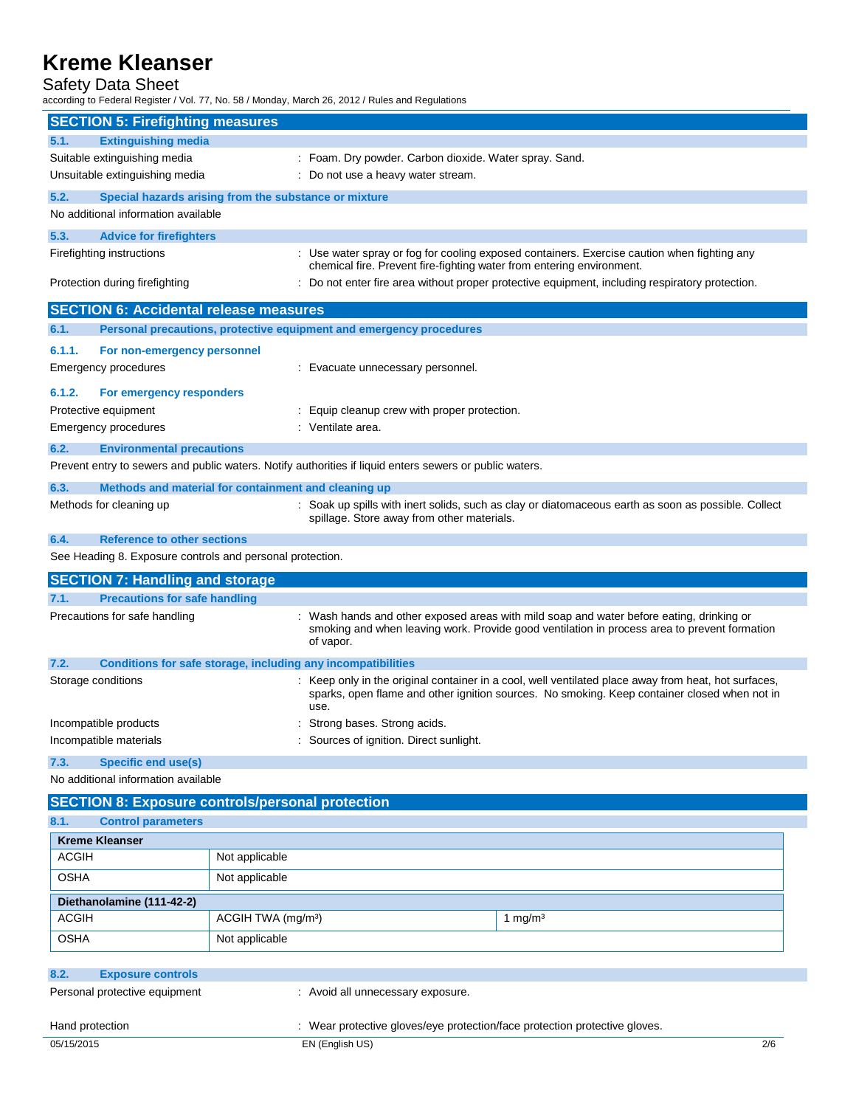## Safety Data Sheet

according to Federal Register / Vol. 77, No. 58 / Monday, March 26, 2012 / Rules and Regulations

|                    | <b>SECTION 5: Firefighting measures</b>                      |                                |                                                                                                         |                                                                                                                                                                                                      |
|--------------------|--------------------------------------------------------------|--------------------------------|---------------------------------------------------------------------------------------------------------|------------------------------------------------------------------------------------------------------------------------------------------------------------------------------------------------------|
|                    |                                                              |                                |                                                                                                         |                                                                                                                                                                                                      |
| 5.1.               | <b>Extinguishing media</b><br>Suitable extinguishing media   |                                |                                                                                                         |                                                                                                                                                                                                      |
|                    |                                                              |                                | : Foam. Dry powder. Carbon dioxide. Water spray. Sand.                                                  |                                                                                                                                                                                                      |
|                    | Unsuitable extinguishing media                               |                                | : Do not use a heavy water stream.                                                                      |                                                                                                                                                                                                      |
| 5.2.               | Special hazards arising from the substance or mixture        |                                |                                                                                                         |                                                                                                                                                                                                      |
|                    | No additional information available                          |                                |                                                                                                         |                                                                                                                                                                                                      |
| 5.3.               | <b>Advice for firefighters</b>                               |                                |                                                                                                         |                                                                                                                                                                                                      |
|                    | Firefighting instructions                                    |                                | chemical fire. Prevent fire-fighting water from entering environment.                                   | : Use water spray or fog for cooling exposed containers. Exercise caution when fighting any                                                                                                          |
|                    | Protection during firefighting                               |                                |                                                                                                         | Do not enter fire area without proper protective equipment, including respiratory protection.                                                                                                        |
|                    | <b>SECTION 6: Accidental release measures</b>                |                                |                                                                                                         |                                                                                                                                                                                                      |
| 6.1.               |                                                              |                                | Personal precautions, protective equipment and emergency procedures                                     |                                                                                                                                                                                                      |
| 6.1.1.             | For non-emergency personnel                                  |                                |                                                                                                         |                                                                                                                                                                                                      |
|                    | Emergency procedures                                         |                                | : Evacuate unnecessary personnel.                                                                       |                                                                                                                                                                                                      |
| 6.1.2.             | For emergency responders                                     |                                |                                                                                                         |                                                                                                                                                                                                      |
|                    | Protective equipment                                         |                                | : Equip cleanup crew with proper protection.                                                            |                                                                                                                                                                                                      |
|                    | Emergency procedures                                         |                                | : Ventilate area.                                                                                       |                                                                                                                                                                                                      |
| 6.2.               | <b>Environmental precautions</b>                             |                                |                                                                                                         |                                                                                                                                                                                                      |
|                    |                                                              |                                | Prevent entry to sewers and public waters. Notify authorities if liquid enters sewers or public waters. |                                                                                                                                                                                                      |
| 6.3.               | Methods and material for containment and cleaning up         |                                |                                                                                                         |                                                                                                                                                                                                      |
|                    | Methods for cleaning up                                      |                                |                                                                                                         | : Soak up spills with inert solids, such as clay or diatomaceous earth as soon as possible. Collect                                                                                                  |
|                    |                                                              |                                | spillage. Store away from other materials.                                                              |                                                                                                                                                                                                      |
| 6.4.               | <b>Reference to other sections</b>                           |                                |                                                                                                         |                                                                                                                                                                                                      |
|                    | See Heading 8. Exposure controls and personal protection.    |                                |                                                                                                         |                                                                                                                                                                                                      |
|                    | <b>SECTION 7: Handling and storage</b>                       |                                |                                                                                                         |                                                                                                                                                                                                      |
| 7.1.               | <b>Precautions for safe handling</b>                         |                                |                                                                                                         |                                                                                                                                                                                                      |
|                    | Precautions for safe handling                                |                                | of vapor.                                                                                               | Wash hands and other exposed areas with mild soap and water before eating, drinking or<br>smoking and when leaving work. Provide good ventilation in process area to prevent formation               |
| 7.2.               | Conditions for safe storage, including any incompatibilities |                                |                                                                                                         |                                                                                                                                                                                                      |
| Storage conditions |                                                              |                                | use.                                                                                                    | : Keep only in the original container in a cool, well ventilated place away from heat, hot surfaces,<br>sparks, open flame and other ignition sources. No smoking. Keep container closed when not in |
|                    | Incompatible products                                        |                                | Strong bases. Strong acids.                                                                             |                                                                                                                                                                                                      |
|                    | Incompatible materials                                       |                                | : Sources of ignition. Direct sunlight.                                                                 |                                                                                                                                                                                                      |
| 7.3.               | <b>Specific end use(s)</b>                                   |                                |                                                                                                         |                                                                                                                                                                                                      |
|                    | No additional information available                          |                                |                                                                                                         |                                                                                                                                                                                                      |
|                    | <b>SECTION 8: Exposure controls/personal protection</b>      |                                |                                                                                                         |                                                                                                                                                                                                      |
| 8.1.               | <b>Control parameters</b>                                    |                                |                                                                                                         |                                                                                                                                                                                                      |
|                    | <b>Kreme Kleanser</b>                                        |                                |                                                                                                         |                                                                                                                                                                                                      |
| <b>ACGIH</b>       |                                                              | Not applicable                 |                                                                                                         |                                                                                                                                                                                                      |
| OSHA               |                                                              | Not applicable                 |                                                                                                         |                                                                                                                                                                                                      |
|                    | Diethanolamine (111-42-2)                                    |                                |                                                                                                         |                                                                                                                                                                                                      |
| <b>ACGIH</b>       |                                                              | ACGIH TWA (mg/m <sup>3</sup> ) |                                                                                                         | 1 mg/m <sup>3</sup>                                                                                                                                                                                  |
| <b>OSHA</b>        |                                                              | Not applicable                 |                                                                                                         |                                                                                                                                                                                                      |
|                    |                                                              |                                |                                                                                                         |                                                                                                                                                                                                      |
| 8.2.               | <b>Exposure controls</b>                                     |                                |                                                                                                         |                                                                                                                                                                                                      |
|                    | Personal protective equipment                                |                                | : Avoid all unnecessary exposure.                                                                       |                                                                                                                                                                                                      |

Hand protection : Wear protective gloves/eye protection/face protection protective gloves.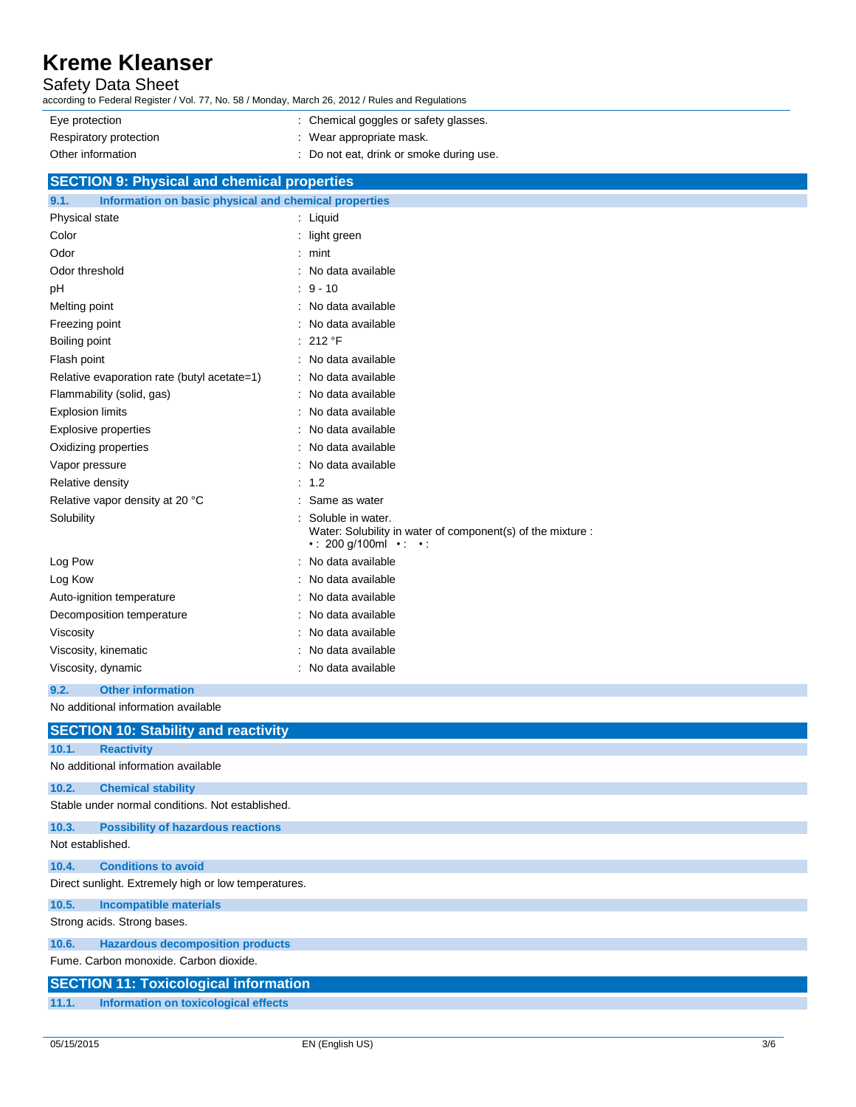## Safety Data Sheet

according to Federal Register / Vol. 77, No. 58 / Monday, March 26, 2012 / Rules and Regulations

| Eye protection         | : Chemical goggles or safety glasses.  |
|------------------------|----------------------------------------|
| Respiratory protection | : Wear appropriate mask.               |
| Other information      | Do not eat, drink or smoke during use. |

|      | <b>SECTION 9: Physical and chemical properties</b> |                                                       |
|------|----------------------------------------------------|-------------------------------------------------------|
| 9.1. |                                                    | Information on basic physical and chemical properties |
|      | Physical state                                     | : Liquid                                              |

| Color                                       | light green                                                                                              |
|---------------------------------------------|----------------------------------------------------------------------------------------------------------|
| Odor                                        | mint                                                                                                     |
| Odor threshold                              | No data available                                                                                        |
| рH                                          | $9 - 10$                                                                                                 |
| Melting point                               | No data available                                                                                        |
| Freezing point                              | No data available                                                                                        |
| Boiling point                               | 212 °F                                                                                                   |
| Flash point                                 | No data available                                                                                        |
| Relative evaporation rate (butyl acetate=1) | No data available                                                                                        |
| Flammability (solid, gas)                   | No data available                                                                                        |
| <b>Explosion limits</b>                     | No data available                                                                                        |
| Explosive properties                        | No data available                                                                                        |
| Oxidizing properties                        | No data available                                                                                        |
| Vapor pressure                              | No data available                                                                                        |
| Relative density                            | 1.2                                                                                                      |
| Relative vapor density at 20 °C             | Same as water                                                                                            |
| Solubility                                  | Soluble in water.<br>Water: Solubility in water of component(s) of the mixture :<br>•: 200 g/100ml •: •: |
| Log Pow                                     | No data available                                                                                        |
| Log Kow                                     | No data available                                                                                        |
| Auto-ignition temperature                   | No data available                                                                                        |
| Decomposition temperature                   | No data available                                                                                        |
| Viscosity                                   | No data available                                                                                        |
| Viscosity, kinematic                        | No data available                                                                                        |
| Viscosity, dynamic                          | No data available                                                                                        |

**9.2. Other information** No additional information available

|                  | <b>SECTION 10: Stability and reactivity</b>          |
|------------------|------------------------------------------------------|
| 10.1.            | <b>Reactivity</b>                                    |
|                  | No additional information available                  |
| 10.2.            | <b>Chemical stability</b>                            |
|                  | Stable under normal conditions. Not established.     |
| 10.3.            | <b>Possibility of hazardous reactions</b>            |
| Not established. |                                                      |
| 10.4.            | <b>Conditions to avoid</b>                           |
|                  | Direct sunlight. Extremely high or low temperatures. |
| 10.5.            | <b>Incompatible materials</b>                        |
|                  | Strong acids. Strong bases.                          |
| 10.6.            | <b>Hazardous decomposition products</b>              |
|                  | Fume, Carbon monoxide, Carbon dioxide.               |
|                  | <b>SECTION 11: Toxicological information</b>         |
| 11.1.            | Information on toxicological effects                 |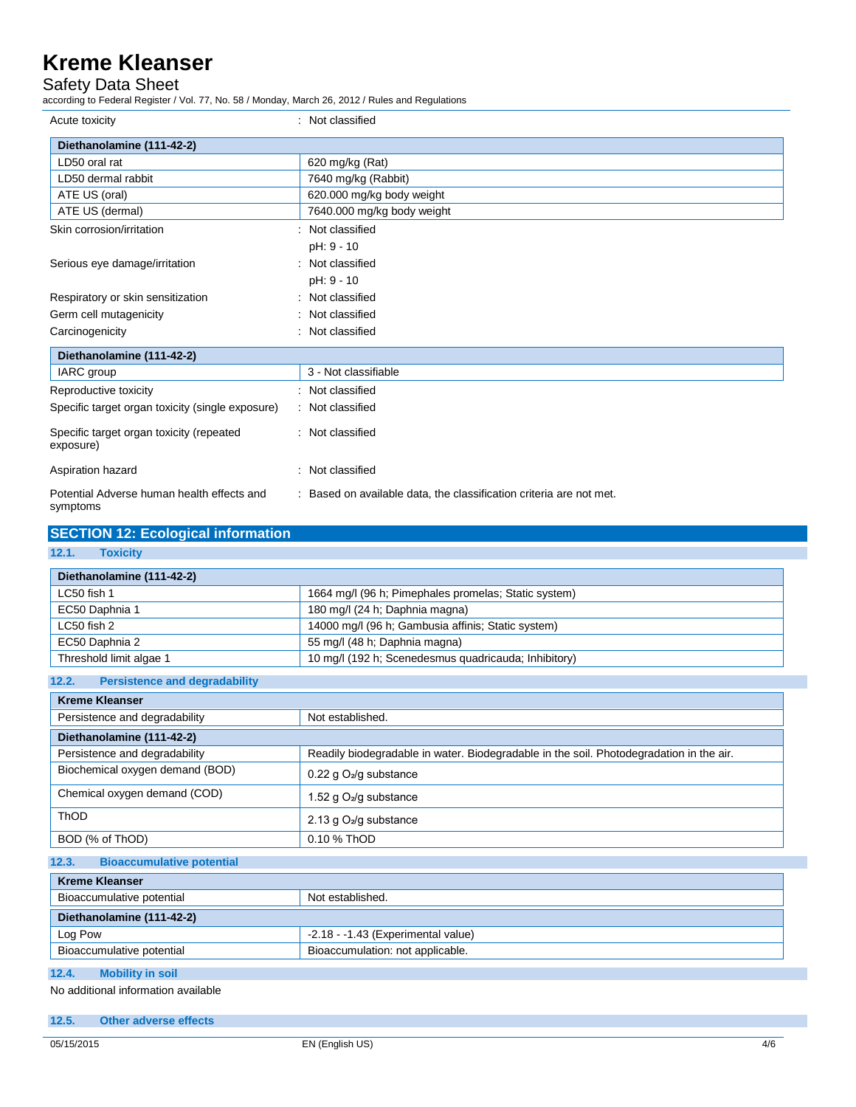## Safety Data Sheet

according to Federal Register / Vol. 77, No. 58 / Monday, March 26, 2012 / Rules and Regulations

| Acute toxicity                                         | : Not classified                                                    |
|--------------------------------------------------------|---------------------------------------------------------------------|
| Diethanolamine (111-42-2)                              |                                                                     |
| LD50 oral rat                                          | 620 mg/kg (Rat)                                                     |
| LD50 dermal rabbit                                     | 7640 mg/kg (Rabbit)                                                 |
| ATE US (oral)                                          | 620.000 mg/kg body weight                                           |
| ATE US (dermal)                                        | 7640.000 mg/kg body weight                                          |
| Skin corrosion/irritation                              | Not classified                                                      |
|                                                        | pH: 9 - 10                                                          |
| Serious eye damage/irritation                          | Not classified<br>٠                                                 |
|                                                        | pH: 9 - 10                                                          |
| Respiratory or skin sensitization                      | Not classified<br>÷                                                 |
| Germ cell mutagenicity                                 | Not classified                                                      |
| Carcinogenicity                                        | Not classified                                                      |
| Diethanolamine (111-42-2)                              |                                                                     |
| IARC group                                             | 3 - Not classifiable                                                |
| Reproductive toxicity                                  | : Not classified                                                    |
| Specific target organ toxicity (single exposure)       | : Not classified                                                    |
| Specific target organ toxicity (repeated<br>exposure)  | : Not classified                                                    |
| Aspiration hazard                                      | Not classified                                                      |
| Potential Adverse human health effects and<br>symptoms | : Based on available data, the classification criteria are not met. |

| <b>SECTION 12: Ecological information</b> |                                                      |
|-------------------------------------------|------------------------------------------------------|
| 12.1.<br><b>Toxicity</b>                  |                                                      |
| Diethanolamine (111-42-2)                 |                                                      |
| LC50 fish 1                               | 1664 mg/l (96 h; Pimephales promelas; Static system) |
| EC50 Daphnia 1                            | 180 mg/l (24 h; Daphnia magna)                       |
| LC50 fish 2                               | 14000 mg/l (96 h; Gambusia affinis; Static system)   |
| EC50 Daphnia 2                            | 55 mg/l (48 h; Daphnia magna)                        |
| Threshold limit algae 1                   | 10 mg/l (192 h; Scenedesmus quadricauda; Inhibitory) |

## **12.2. Persistence and degradability**

| <b>Kreme Kleanser</b>           |                                                                                         |
|---------------------------------|-----------------------------------------------------------------------------------------|
| Persistence and degradability   | Not established.                                                                        |
| Diethanolamine (111-42-2)       |                                                                                         |
| Persistence and degradability   | Readily biodegradable in water. Biodegradable in the soil. Photodegradation in the air. |
| Biochemical oxygen demand (BOD) | 0.22 g $O_2$ /g substance                                                               |
| Chemical oxygen demand (COD)    | 1.52 g $O_2$ /g substance                                                               |
| ThOD                            | 2.13 g $O_2$ /g substance                                                               |
| BOD (% of ThOD)                 | 0.10 % ThOD                                                                             |

## **12.3. Bioaccumulative potential**

| <b>Kreme Kleanser</b>     |                                     |
|---------------------------|-------------------------------------|
| Bioaccumulative potential | Not established.                    |
| Diethanolamine (111-42-2) |                                     |
| Log Pow                   | $-2.18 - 1.43$ (Experimental value) |
| Bioaccumulative potential | Bioaccumulation: not applicable.    |

# **12.4. Mobility in soil**

No additional information available

| 12.5. | <b>Other adverse effects</b> |  |
|-------|------------------------------|--|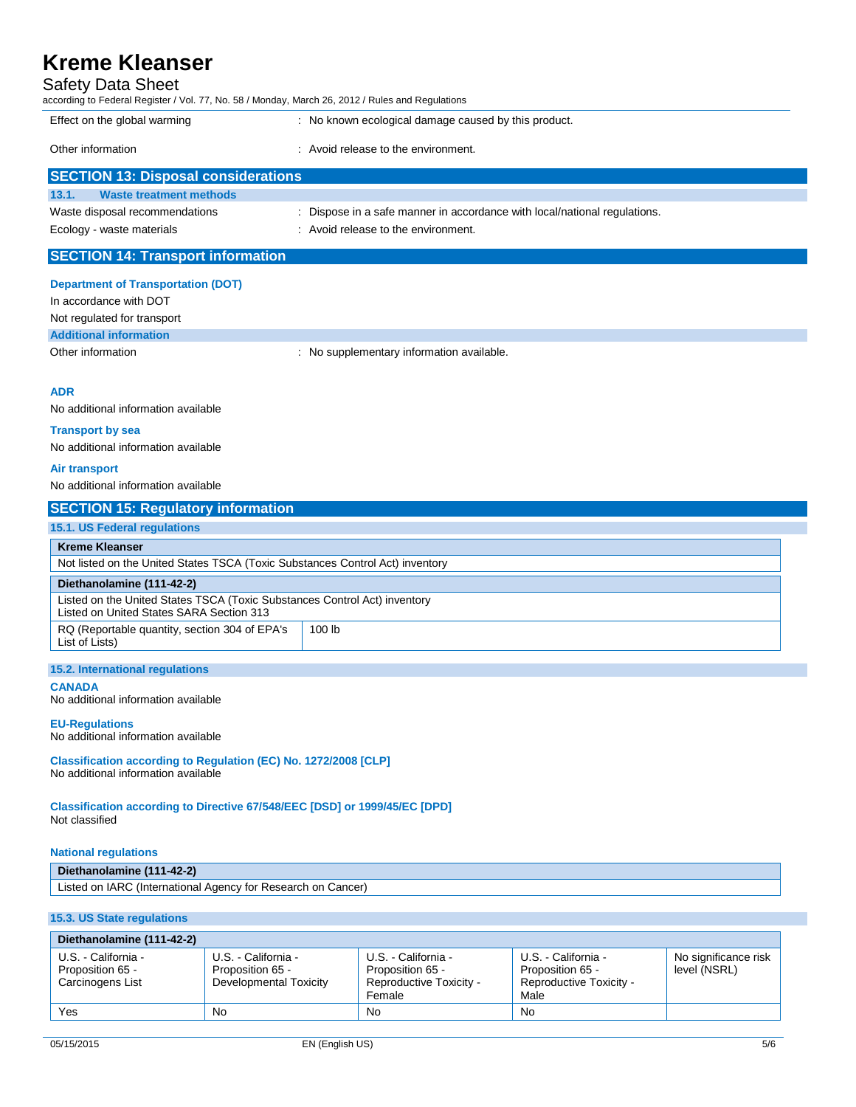## Safety Data Sheet

| Effect on the global warming               | : No known ecological damage caused by this product.                      |  |
|--------------------------------------------|---------------------------------------------------------------------------|--|
| Other information                          | : Avoid release to the environment.                                       |  |
| <b>SECTION 13: Disposal considerations</b> |                                                                           |  |
| <b>Waste treatment methods</b><br>13.1.    |                                                                           |  |
| Waste disposal recommendations             | : Dispose in a safe manner in accordance with local/national regulations. |  |
| Ecology - waste materials                  | : Avoid release to the environment.                                       |  |
| <b>SECTION 14: Transport information</b>   |                                                                           |  |
|                                            |                                                                           |  |

# **Department of Transportation (DOT)**

In accordance with DOT Not regulated for transport

**Additional information**

Other information **contains the container of the container of the contains of the contains of the contains of the contains of the contains of the contains of the contains of the contains of the contains of the contains of** 

## **ADR**

No additional information available

#### **Transport by sea**

No additional information available

### **Air transport**

No additional information available

| <b>SECTION 15: Regulatory information</b>                                                                             |        |  |
|-----------------------------------------------------------------------------------------------------------------------|--------|--|
| 15.1. US Federal regulations                                                                                          |        |  |
| <b>Kreme Kleanser</b>                                                                                                 |        |  |
| Not listed on the United States TSCA (Toxic Substances Control Act) inventory                                         |        |  |
| Diethanolamine (111-42-2)                                                                                             |        |  |
| Listed on the United States TSCA (Toxic Substances Control Act) inventory<br>Listed on United States SARA Section 313 |        |  |
| RQ (Reportable quantity, section 304 of EPA's<br>List of Lists)                                                       | 100 lb |  |

### **15.2. International regulations**

#### **CANADA**

No additional information available

#### **EU-Regulations**

No additional information available

**Classification according to Regulation (EC) No. 1272/2008 [CLP]** No additional information available

**Classification according to Directive 67/548/EEC [DSD] or 1999/45/EC [DPD]** Not classified

### **National regulations**

#### **Diethanolamine (111-42-2)**

Listed on IARC (International Agency for Research on Cancer)

### **15.3. US State regulations**

| Diethanolamine (111-42-2)                                   |                                                                   |                                                                              |                                                                            |                                      |
|-------------------------------------------------------------|-------------------------------------------------------------------|------------------------------------------------------------------------------|----------------------------------------------------------------------------|--------------------------------------|
| U.S. - California -<br>Proposition 65 -<br>Carcinogens List | U.S. - California -<br>Proposition 65 -<br>Developmental Toxicity | U.S. - California -<br>Proposition 65 -<br>Reproductive Toxicity -<br>Female | U.S. - California -<br>Proposition 65 -<br>Reproductive Toxicity -<br>Male | No significance risk<br>level (NSRL) |
| Yes                                                         | <b>No</b>                                                         | <b>No</b>                                                                    | No                                                                         |                                      |